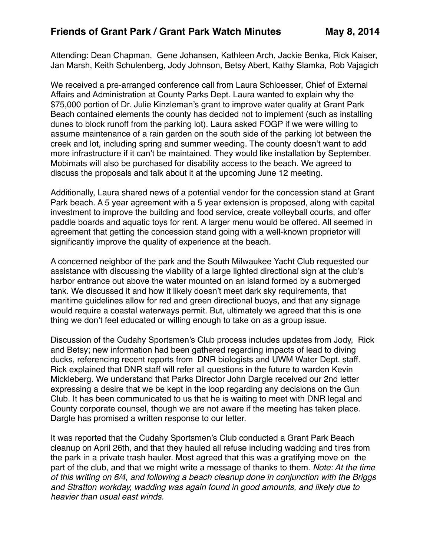Attending: Dean Chapman, Gene Johansen, Kathleen Arch, Jackie Benka, Rick Kaiser, Jan Marsh, Keith Schulenberg, Jody Johnson, Betsy Abert, Kathy Slamka, Rob Vajagich

We received a pre-arranged conference call from Laura Schloesser, Chief of External Affairs and Administration at County Parks Dept. Laura wanted to explain why the \$75,000 portion of Dr. Julie Kinzleman's grant to improve water quality at Grant Park Beach contained elements the county has decided not to implement (such as installing dunes to block runoff from the parking lot). Laura asked FOGP if we were willing to assume maintenance of a rain garden on the south side of the parking lot between the creek and lot, including spring and summer weeding. The county doesn't want to add more infrastructure if it can't be maintained. They would like installation by September. Mobimats will also be purchased for disability access to the beach. We agreed to discuss the proposals and talk about it at the upcoming June 12 meeting.

Additionally, Laura shared news of a potential vendor for the concession stand at Grant Park beach. A 5 year agreement with a 5 year extension is proposed, along with capital investment to improve the building and food service, create volleyball courts, and offer paddle boards and aquatic toys for rent. A larger menu would be offered. All seemed in agreement that getting the concession stand going with a well-known proprietor will significantly improve the quality of experience at the beach.

A concerned neighbor of the park and the South Milwaukee Yacht Club requested our assistance with discussing the viability of a large lighted directional sign at the club's harbor entrance out above the water mounted on an island formed by a submerged tank. We discussed it and how it likely doesn't meet dark sky requirements, that maritime guidelines allow for red and green directional buoys, and that any signage would require a coastal waterways permit. But, ultimately we agreed that this is one thing we don't feel educated or willing enough to take on as a group issue.

Discussion of the Cudahy Sportsmen's Club process includes updates from Jody, Rick and Betsy; new information had been gathered regarding impacts of lead to diving ducks, referencing recent reports from DNR biologists and UWM Water Dept. staff. Rick explained that DNR staff will refer all questions in the future to warden Kevin Mickleberg. We understand that Parks Director John Dargle received our 2nd letter expressing a desire that we be kept in the loop regarding any decisions on the Gun Club. It has been communicated to us that he is waiting to meet with DNR legal and County corporate counsel, though we are not aware if the meeting has taken place. Dargle has promised a written response to our letter.

It was reported that the Cudahy Sportsmen's Club conducted a Grant Park Beach cleanup on April 26th, and that they hauled all refuse including wadding and tires from the park in a private trash hauler. Most agreed that this was a gratifying move on the part of the club, and that we might write a message of thanks to them. *Note: At the time of this writing on 6/4, and following a beach cleanup done in conjunction with the Briggs and Stratton workday, wadding was again found in good amounts, and likely due to heavier than usual east winds.*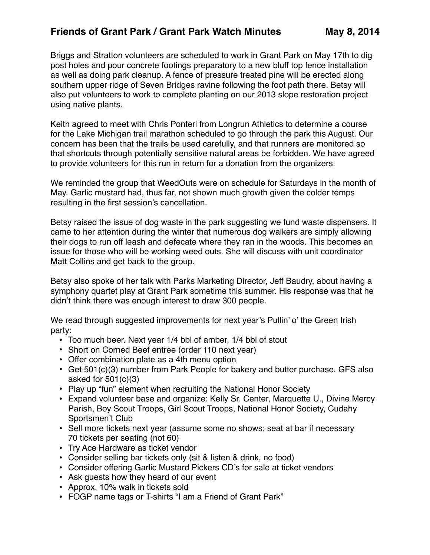## Friends of Grant Park / Grant Park Watch Minutes May 8, 2014

Briggs and Stratton volunteers are scheduled to work in Grant Park on May 17th to dig post holes and pour concrete footings preparatory to a new bluff top fence installation as well as doing park cleanup. A fence of pressure treated pine will be erected along southern upper ridge of Seven Bridges ravine following the foot path there. Betsy will also put volunteers to work to complete planting on our 2013 slope restoration project using native plants.

Keith agreed to meet with Chris Ponteri from Longrun Athletics to determine a course for the Lake Michigan trail marathon scheduled to go through the park this August. Our concern has been that the trails be used carefully, and that runners are monitored so that shortcuts through potentially sensitive natural areas be forbidden. We have agreed to provide volunteers for this run in return for a donation from the organizers.

We reminded the group that WeedOuts were on schedule for Saturdays in the month of May. Garlic mustard had, thus far, not shown much growth given the colder temps resulting in the first session's cancellation.

Betsy raised the issue of dog waste in the park suggesting we fund waste dispensers. It came to her attention during the winter that numerous dog walkers are simply allowing their dogs to run off leash and defecate where they ran in the woods. This becomes an issue for those who will be working weed outs. She will discuss with unit coordinator Matt Collins and get back to the group.

Betsy also spoke of her talk with Parks Marketing Director, Jeff Baudry, about having a symphony quartet play at Grant Park sometime this summer. His response was that he didn't think there was enough interest to draw 300 people.

We read through suggested improvements for next year's Pullin' o' the Green Irish party:

- Too much beer. Next year 1/4 bbl of amber, 1/4 bbl of stout
- Short on Corned Beef entree (order 110 next year)
- Offer combination plate as a 4th menu option
- Get 501(c)(3) number from Park People for bakery and butter purchase. GFS also asked for  $501(c)(3)$
- Play up "fun" element when recruiting the National Honor Society
- Expand volunteer base and organize: Kelly Sr. Center, Marquette U., Divine Mercy Parish, Boy Scout Troops, Girl Scout Troops, National Honor Society, Cudahy Sportsmen't Club
- Sell more tickets next year (assume some no shows; seat at bar if necessary 70 tickets per seating (not 60)
- Try Ace Hardware as ticket vendor
- Consider selling bar tickets only (sit & listen & drink, no food)
- Consider offering Garlic Mustard Pickers CD's for sale at ticket vendors
- Ask guests how they heard of our event
- Approx. 10% walk in tickets sold
- FOGP name tags or T-shirts "I am a Friend of Grant Park"